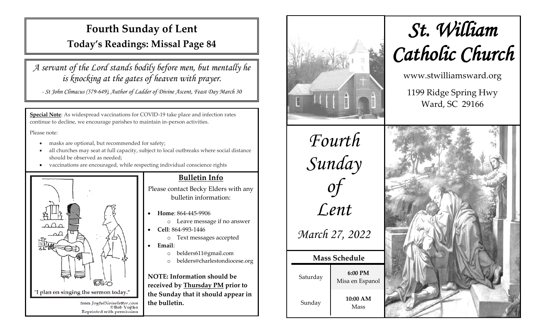## **Fourth Sunday of Lent**

**Today's Readings: Missal Page 84**

*A servant of the Lord stands bodily before men, but mentally he is knocking at the gates of heaven with prayer.*

*- St John Climacus (579-649), Author of Ladder of Divine Ascent, Feast Day March 30*

**Special Note**: As widespread vaccinations for COVID-19 take place and infection rates continue to decline, we encourage parishes to maintain in-person activities.

Please note:

- masks are optional, but recommended for safety;
- all churches may seat at full capacity, subject to local outbreaks where social distance should be observed as needed;
- vaccinations are encouraged, while respecting individual conscience rights



#### **Bulletin Info**

Please contact Becky Elders with any bulletin information:

- **Home**: 864-445-9906
	- o Leave message if no answer
- **Cell**: 864-993-1446
	- o Text messages accepted
- **Email**:
	- o belders611@gmail.com
	- o belders@charlestondiocese.org

**NOTE: Information should be received by Thursday PM prior to the Sunday that it should appear in the bulletin.**